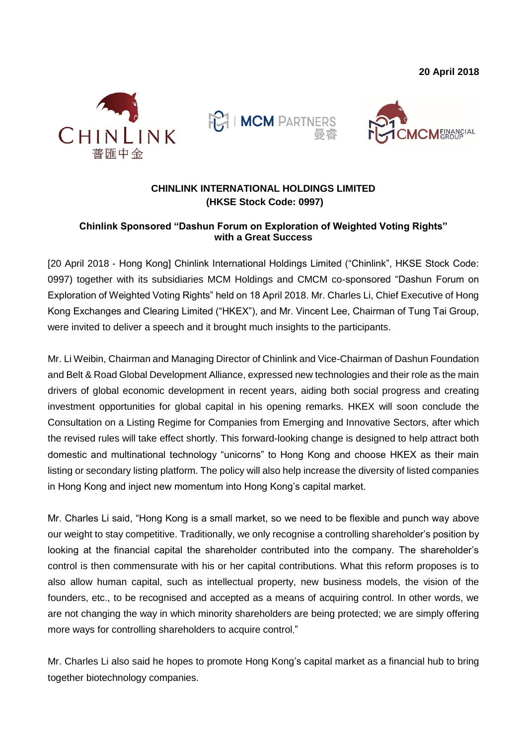**20 April 2018**







## **CHINLINK INTERNATIONAL HOLDINGS LIMITED (HKSE Stock Code: 0997)**

## **Chinlink Sponsored "Dashun Forum on Exploration of Weighted Voting Rights" with a Great Success**

[20 April 2018 - Hong Kong] Chinlink International Holdings Limited ("Chinlink", HKSE Stock Code: 0997) together with its subsidiaries MCM Holdings and CMCM co-sponsored "Dashun Forum on Exploration of Weighted Voting Rights" held on 18 April 2018. Mr. Charles Li, Chief Executive of Hong Kong Exchanges and Clearing Limited ("HKEX"), and Mr. Vincent Lee, Chairman of Tung Tai Group, were invited to deliver a speech and it brought much insights to the participants.

Mr. Li Weibin, Chairman and Managing Director of Chinlink and Vice-Chairman of Dashun Foundation and Belt & Road Global Development Alliance, expressed new technologies and their role as the main drivers of global economic development in recent years, aiding both social progress and creating investment opportunities for global capital in his opening remarks. HKEX will soon conclude the Consultation on a Listing Regime for Companies from Emerging and Innovative Sectors, after which the revised rules will take effect shortly. This forward-looking change is designed to help attract both domestic and multinational technology "unicorns" to Hong Kong and choose HKEX as their main listing or secondary listing platform. The policy will also help increase the diversity of listed companies in Hong Kong and inject new momentum into Hong Kong's capital market.

Mr. Charles Li said, "Hong Kong is a small market, so we need to be flexible and punch way above our weight to stay competitive. Traditionally, we only recognise a controlling shareholder's position by looking at the financial capital the shareholder contributed into the company. The shareholder's control is then commensurate with his or her capital contributions. What this reform proposes is to also allow human capital, such as intellectual property, new business models, the vision of the founders, etc., to be recognised and accepted as a means of acquiring control. In other words, we are not changing the way in which minority shareholders are being protected; we are simply offering more ways for controlling shareholders to acquire control."

Mr. Charles Li also said he hopes to promote Hong Kong's capital market as a financial hub to bring together biotechnology companies.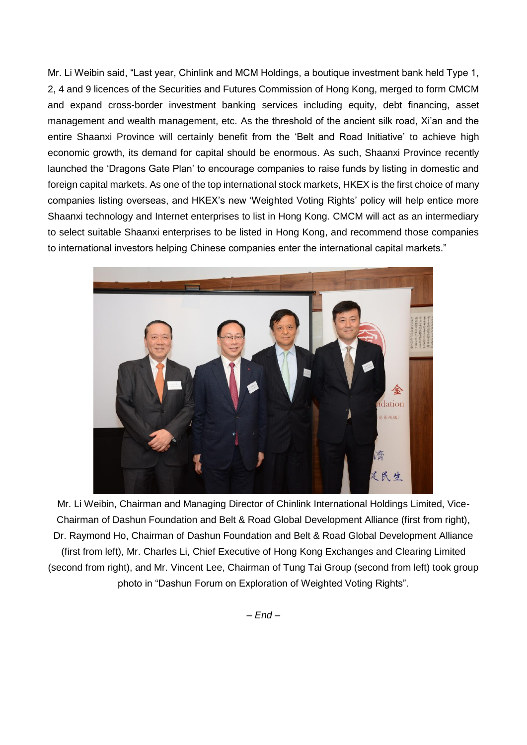Mr. Li Weibin said, "Last year, Chinlink and MCM Holdings, a boutique investment bank held Type 1, 2, 4 and 9 licences of the Securities and Futures Commission of Hong Kong, merged to form CMCM and expand cross-border investment banking services including equity, debt financing, asset management and wealth management, etc. As the threshold of the ancient silk road, Xi'an and the entire Shaanxi Province will certainly benefit from the 'Belt and Road Initiative' to achieve high economic growth, its demand for capital should be enormous. As such, Shaanxi Province recently launched the 'Dragons Gate Plan' to encourage companies to raise funds by listing in domestic and foreign capital markets. As one of the top international stock markets, HKEX is the first choice of many companies listing overseas, and HKEX's new 'Weighted Voting Rights' policy will help entice more Shaanxi technology and Internet enterprises to list in Hong Kong. CMCM will act as an intermediary to select suitable Shaanxi enterprises to be listed in Hong Kong, and recommend those companies to international investors helping Chinese companies enter the international capital markets."



Mr. Li Weibin, Chairman and Managing Director of Chinlink International Holdings Limited, Vice-Chairman of Dashun Foundation and Belt & Road Global Development Alliance (first from right), Dr. Raymond Ho, Chairman of Dashun Foundation and Belt & Road Global Development Alliance (first from left), Mr. Charles Li, Chief Executive of Hong Kong Exchanges and Clearing Limited (second from right), and Mr. Vincent Lee, Chairman of Tung Tai Group (second from left) took group photo in "Dashun Forum on Exploration of Weighted Voting Rights".